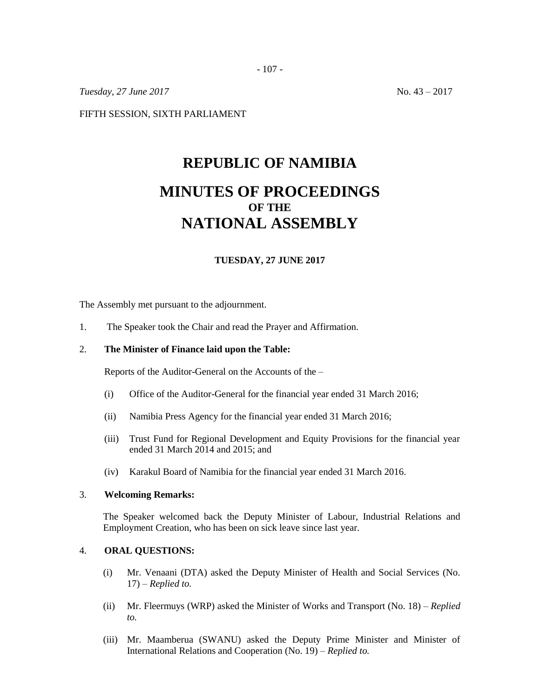- 107 -

*Tuesday,* 27 *June* 2017 **No. 43** – 2017

FIFTH SESSION, SIXTH PARLIAMENT

# **REPUBLIC OF NAMIBIA MINUTES OF PROCEEDINGS OF THE NATIONAL ASSEMBLY**

## **TUESDAY, 27 JUNE 2017**

The Assembly met pursuant to the adjournment.

1. The Speaker took the Chair and read the Prayer and Affirmation.

#### 2. **The Minister of Finance laid upon the Table:**

Reports of the Auditor-General on the Accounts of the –

- (i) Office of the Auditor-General for the financial year ended 31 March 2016;
- (ii) Namibia Press Agency for the financial year ended 31 March 2016;
- (iii) Trust Fund for Regional Development and Equity Provisions for the financial year ended 31 March 2014 and 2015; and
- (iv) Karakul Board of Namibia for the financial year ended 31 March 2016.

#### 3. **Welcoming Remarks:**

The Speaker welcomed back the Deputy Minister of Labour, Industrial Relations and Employment Creation, who has been on sick leave since last year.

#### 4. **ORAL QUESTIONS:**

- (i) Mr. Venaani (DTA) asked the Deputy Minister of Health and Social Services (No. 17) – *Replied to.*
- (ii) Mr. Fleermuys (WRP) asked the Minister of Works and Transport (No. 18) *Replied to.*
- (iii) Mr. Maamberua (SWANU) asked the Deputy Prime Minister and Minister of International Relations and Cooperation (No. 19) – *Replied to.*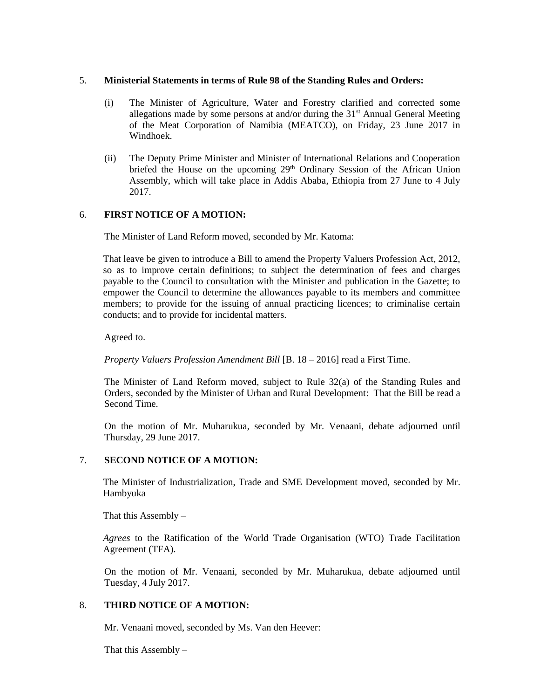## 5. **Ministerial Statements in terms of Rule 98 of the Standing Rules and Orders:**

- (i) The Minister of Agriculture, Water and Forestry clarified and corrected some allegations made by some persons at and/or during the  $31<sup>st</sup>$  Annual General Meeting of the Meat Corporation of Namibia (MEATCO), on Friday, 23 June 2017 in Windhoek.
- (ii) The Deputy Prime Minister and Minister of International Relations and Cooperation briefed the House on the upcoming 29<sup>th</sup> Ordinary Session of the African Union Assembly, which will take place in Addis Ababa, Ethiopia from 27 June to 4 July 2017.

## 6. **FIRST NOTICE OF A MOTION:**

The Minister of Land Reform moved, seconded by Mr. Katoma:

That leave be given to introduce a Bill to amend the Property Valuers Profession Act, 2012, so as to improve certain definitions; to subject the determination of fees and charges payable to the Council to consultation with the Minister and publication in the Gazette; to empower the Council to determine the allowances payable to its members and committee members; to provide for the issuing of annual practicing licences; to criminalise certain conducts; and to provide for incidental matters.

Agreed to.

*Property Valuers Profession Amendment Bill* [B. 18 – 2016] read a First Time.

The Minister of Land Reform moved, subject to Rule 32(a) of the Standing Rules and Orders, seconded by the Minister of Urban and Rural Development: That the Bill be read a Second Time.

On the motion of Mr. Muharukua, seconded by Mr. Venaani, debate adjourned until Thursday, 29 June 2017.

## 7. **SECOND NOTICE OF A MOTION:**

The Minister of Industrialization, Trade and SME Development moved, seconded by Mr. Hambyuka

That this Assembly  $-$ 

*Agrees* to the Ratification of the World Trade Organisation (WTO) Trade Facilitation Agreement (TFA).

On the motion of Mr. Venaani, seconded by Mr. Muharukua, debate adjourned until Tuesday, 4 July 2017.

## 8. **THIRD NOTICE OF A MOTION:**

Mr. Venaani moved, seconded by Ms. Van den Heever:

That this Assembly –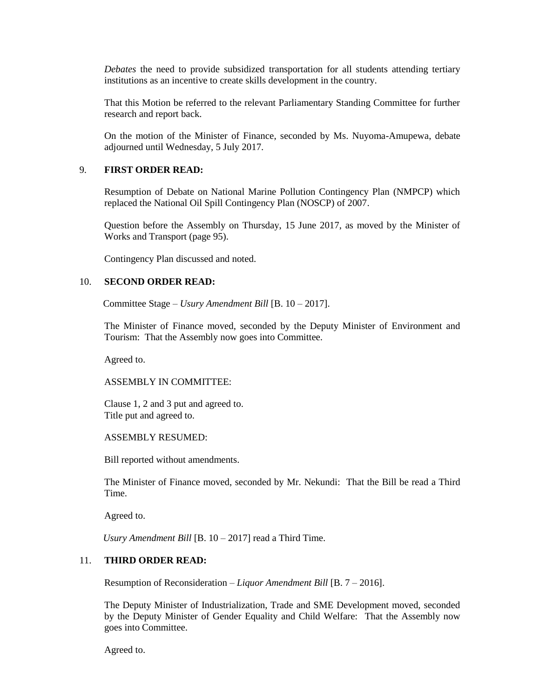*Debates* the need to provide subsidized transportation for all students attending tertiary institutions as an incentive to create skills development in the country.

That this Motion be referred to the relevant Parliamentary Standing Committee for further research and report back.

On the motion of the Minister of Finance, seconded by Ms. Nuyoma-Amupewa, debate adjourned until Wednesday, 5 July 2017.

#### 9. **FIRST ORDER READ:**

Resumption of Debate on National Marine Pollution Contingency Plan (NMPCP) which replaced the National Oil Spill Contingency Plan (NOSCP) of 2007.

Question before the Assembly on Thursday, 15 June 2017, as moved by the Minister of Works and Transport (page 95).

Contingency Plan discussed and noted.

#### 10. **SECOND ORDER READ:**

Committee Stage – *Usury Amendment Bill* [B. 10 – 2017].

The Minister of Finance moved, seconded by the Deputy Minister of Environment and Tourism: That the Assembly now goes into Committee.

Agreed to.

#### ASSEMBLY IN COMMITTEE:

Clause 1, 2 and 3 put and agreed to. Title put and agreed to.

ASSEMBLY RESUMED:

Bill reported without amendments.

The Minister of Finance moved, seconded by Mr. Nekundi: That the Bill be read a Third Time.

Agreed to.

*Usury Amendment Bill* [B. 10 – 2017] read a Third Time.

# 11. **THIRD ORDER READ:**

Resumption of Reconsideration *– Liquor Amendment Bill* [B. 7 – 2016].

The Deputy Minister of Industrialization, Trade and SME Development moved, seconded by the Deputy Minister of Gender Equality and Child Welfare: That the Assembly now goes into Committee.

Agreed to.